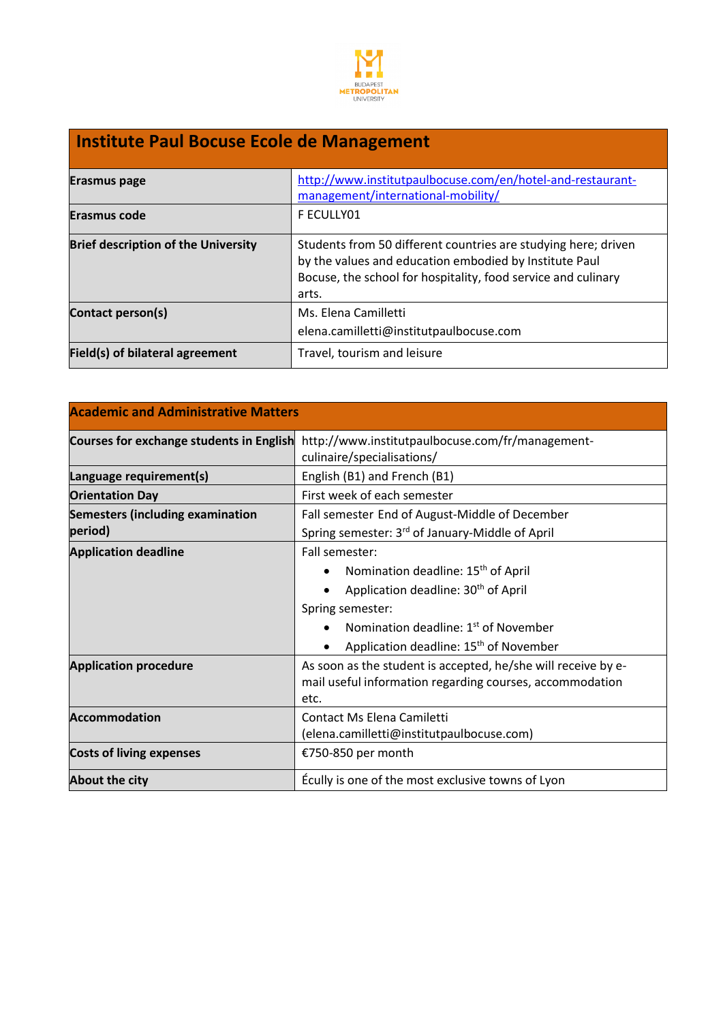

## **Institute Paul Bocuse Ecole de Management**

| <b>Erasmus page</b>                        | http://www.institutpaulbocuse.com/en/hotel-and-restaurant-<br>management/international-mobility/                                                                                                   |
|--------------------------------------------|----------------------------------------------------------------------------------------------------------------------------------------------------------------------------------------------------|
| Erasmus code                               | F ECULLY01                                                                                                                                                                                         |
| <b>Brief description of the University</b> | Students from 50 different countries are studying here; driven<br>by the values and education embodied by Institute Paul<br>Bocuse, the school for hospitality, food service and culinary<br>arts. |
| Contact person(s)                          | Ms. Elena Camilletti<br>elena.camilletti@institutpaulbocuse.com                                                                                                                                    |
|                                            |                                                                                                                                                                                                    |
| Field(s) of bilateral agreement            | Travel, tourism and leisure                                                                                                                                                                        |

| <b>Academic and Administrative Matters</b> |                                                                                |
|--------------------------------------------|--------------------------------------------------------------------------------|
| Courses for exchange students in English   | http://www.institutpaulbocuse.com/fr/management-<br>culinaire/specialisations/ |
| Language requirement(s)                    | English (B1) and French (B1)                                                   |
| <b>Orientation Day</b>                     | First week of each semester                                                    |
| <b>Semesters (including examination</b>    | Fall semester End of August-Middle of December                                 |
| period)                                    | Spring semester: 3rd of January-Middle of April                                |
| <b>Application deadline</b>                | Fall semester:                                                                 |
|                                            | Nomination deadline: 15 <sup>th</sup> of April                                 |
|                                            | Application deadline: 30 <sup>th</sup> of April                                |
|                                            | Spring semester:                                                               |
|                                            | Nomination deadline: 1 <sup>st</sup> of November                               |
|                                            | Application deadline: 15 <sup>th</sup> of November                             |
| <b>Application procedure</b>               | As soon as the student is accepted, he/she will receive by e-                  |
|                                            | mail useful information regarding courses, accommodation                       |
|                                            | etc.                                                                           |
| <b>Accommodation</b>                       | Contact Ms Flena Camiletti                                                     |
|                                            | (elena.camilletti@institutpaulbocuse.com)                                      |
| <b>Costs of living expenses</b>            | €750-850 per month                                                             |
| <b>About the city</b>                      | Écully is one of the most exclusive towns of Lyon                              |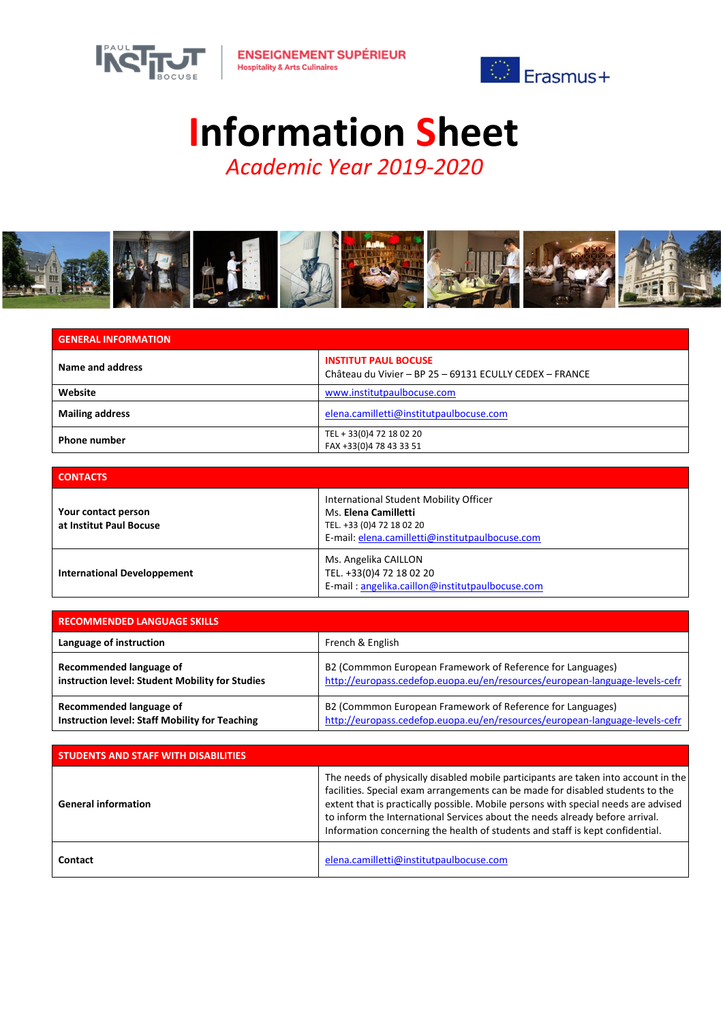



## Information Sheet

*Academic Year 2019-2020*



| <b>GENERAL INFORMATION</b> |                                                                                        |
|----------------------------|----------------------------------------------------------------------------------------|
| Name and address           | <b>INSTITUT PAUL BOCUSE</b><br>Château du Vivier - BP 25 - 69131 ECULLY CEDEX - FRANCE |
| Website                    | www.institutpaulbocuse.com                                                             |
| <b>Mailing address</b>     | elena.camilletti@institutpaulbocuse.com                                                |
| <b>Phone number</b>        | TEL + 33(0)4 72 18 02 20<br>FAX +33(0)4 78 43 33 51                                    |

| <b>CONTACTS</b>                                |                                                                                                                                                |
|------------------------------------------------|------------------------------------------------------------------------------------------------------------------------------------------------|
| Your contact person<br>at Institut Paul Bocuse | International Student Mobility Officer<br>Ms. Elena Camilletti<br>TEL. +33 (0)4 72 18 02 20<br>E-mail: elena.camilletti@institutpaulbocuse.com |
| <b>International Developpement</b>             | Ms. Angelika CAILLON<br>TEL. +33(0)4 72 18 02 20<br>E-mail: angelika.caillon@institutpaulbocuse.com                                            |

| <b>RECOMMENDED LANGUAGE SKILLS</b>                    |                                                                             |
|-------------------------------------------------------|-----------------------------------------------------------------------------|
| Language of instruction                               | French & English                                                            |
| Recommended language of                               | B2 (Commmon European Framework of Reference for Languages)                  |
| instruction level: Student Mobility for Studies       | http://europass.cedefop.euopa.eu/en/resources/european-language-levels-cefr |
| Recommended language of                               | B2 (Commmon European Framework of Reference for Languages)                  |
| <b>Instruction level: Staff Mobility for Teaching</b> | http://europass.cedefop.euopa.eu/en/resources/european-language-levels-cefr |

| <b>STUDENTS AND STAFF WITH DISABILITIES</b> |                                                                                                                                                                                                                                                                                                                                                                                                                             |
|---------------------------------------------|-----------------------------------------------------------------------------------------------------------------------------------------------------------------------------------------------------------------------------------------------------------------------------------------------------------------------------------------------------------------------------------------------------------------------------|
| <b>General information</b>                  | The needs of physically disabled mobile participants are taken into account in the<br>facilities. Special exam arrangements can be made for disabled students to the<br>extent that is practically possible. Mobile persons with special needs are advised<br>to inform the International Services about the needs already before arrival.<br>Information concerning the health of students and staff is kept confidential. |
| Contact                                     | elena.camilletti@institutpaulbocuse.com                                                                                                                                                                                                                                                                                                                                                                                     |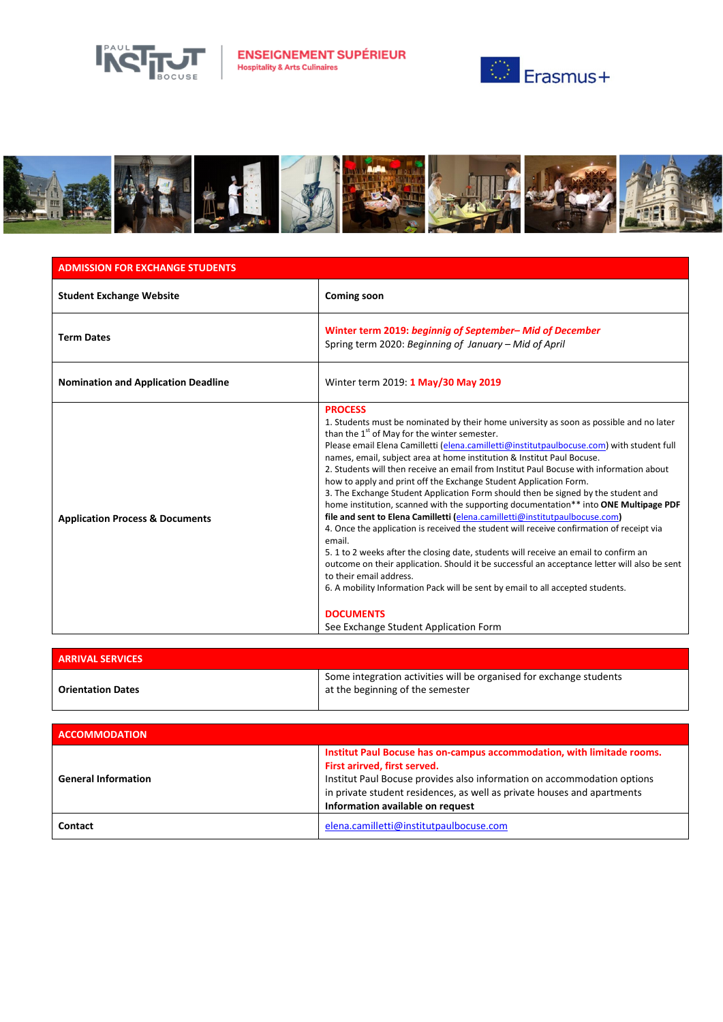

**ENSEIGNEMENT SUPÉRIEUR**<br>Hospitality & Arts Culinaires





## ADMISSION FOR EXCHANGE STUDENTS

| <b>Student Exchange Website</b>            | <b>Coming soon</b>                                                                                                                                                                                                                                                                                                                                                                                                                                                                                                                                                                                                                                                                                                                                                                                                                                                                                                                                                                                                                                                                                                                                                                                                                               |
|--------------------------------------------|--------------------------------------------------------------------------------------------------------------------------------------------------------------------------------------------------------------------------------------------------------------------------------------------------------------------------------------------------------------------------------------------------------------------------------------------------------------------------------------------------------------------------------------------------------------------------------------------------------------------------------------------------------------------------------------------------------------------------------------------------------------------------------------------------------------------------------------------------------------------------------------------------------------------------------------------------------------------------------------------------------------------------------------------------------------------------------------------------------------------------------------------------------------------------------------------------------------------------------------------------|
| <b>Term Dates</b>                          | Winter term 2019: beginnig of September-Mid of December<br>Spring term 2020: Beginning of January - Mid of April                                                                                                                                                                                                                                                                                                                                                                                                                                                                                                                                                                                                                                                                                                                                                                                                                                                                                                                                                                                                                                                                                                                                 |
| <b>Nomination and Application Deadline</b> | Winter term 2019: 1 May/30 May 2019                                                                                                                                                                                                                                                                                                                                                                                                                                                                                                                                                                                                                                                                                                                                                                                                                                                                                                                                                                                                                                                                                                                                                                                                              |
| <b>Application Process &amp; Documents</b> | <b>PROCESS</b><br>1. Students must be nominated by their home university as soon as possible and no later<br>than the 1 <sup>st</sup> of May for the winter semester.<br>Please email Elena Camilletti (elena.camilletti@institutpaulbocuse.com) with student full<br>names, email, subject area at home institution & Institut Paul Bocuse.<br>2. Students will then receive an email from Institut Paul Bocuse with information about<br>how to apply and print off the Exchange Student Application Form.<br>3. The Exchange Student Application Form should then be signed by the student and<br>home institution, scanned with the supporting documentation** into ONE Multipage PDF<br>file and sent to Elena Camilletti (elena.camilletti@institutpaulbocuse.com)<br>4. Once the application is received the student will receive confirmation of receipt via<br>email.<br>5. 1 to 2 weeks after the closing date, students will receive an email to confirm an<br>outcome on their application. Should it be successful an acceptance letter will also be sent<br>to their email address.<br>6. A mobility Information Pack will be sent by email to all accepted students.<br><b>DOCUMENTS</b><br>See Exchange Student Application Form |

| <b>ARRIVAL SERVICES</b>  |                                                                                                         |
|--------------------------|---------------------------------------------------------------------------------------------------------|
| <b>Orientation Dates</b> | Some integration activities will be organised for exchange students<br>at the beginning of the semester |

| <b>ACCOMMODATION</b>       |                                                                                                                                                                                                                                                                                                  |
|----------------------------|--------------------------------------------------------------------------------------------------------------------------------------------------------------------------------------------------------------------------------------------------------------------------------------------------|
| <b>General Information</b> | Institut Paul Bocuse has on-campus accommodation, with limitade rooms.<br>First arirved, first served.<br>Institut Paul Bocuse provides also information on accommodation options<br>in private student residences, as well as private houses and apartments<br>Information available on request |
| Contact                    | elena.camilletti@institutpaulbocuse.com                                                                                                                                                                                                                                                          |